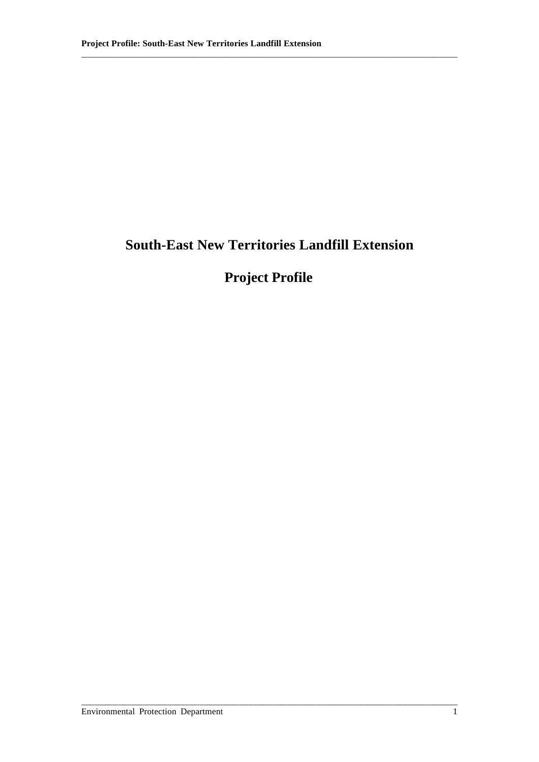# **South-East New Territories Landfill Extension**

\_\_\_\_\_\_\_\_\_\_\_\_\_\_\_\_\_\_\_\_\_\_\_\_\_\_\_\_\_\_\_\_\_\_\_\_\_\_\_\_\_\_\_\_\_\_\_\_\_\_\_\_\_\_\_\_\_\_\_\_\_\_\_\_\_\_\_\_\_\_\_\_\_\_\_\_\_\_\_\_\_\_\_

# **Project Profile**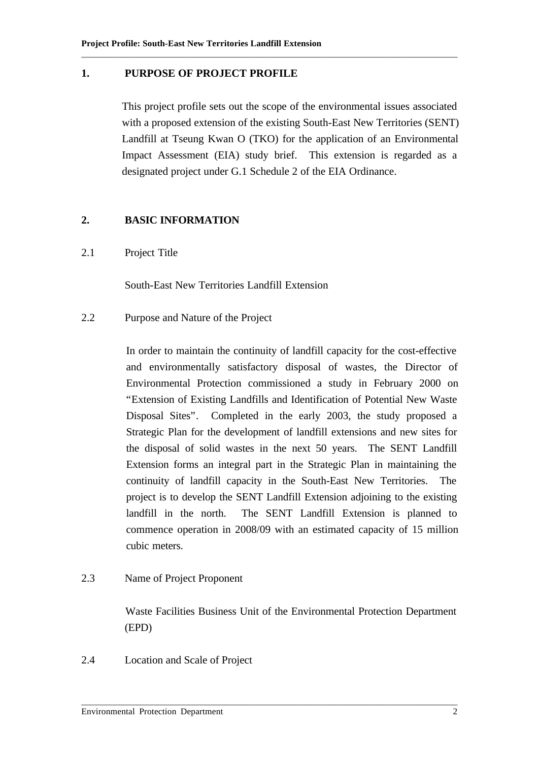## **1. PURPOSE OF PROJECT PROFILE**

This project profile sets out the scope of the environmental issues associated with a proposed extension of the existing South-East New Territories (SENT) Landfill at Tseung Kwan O (TKO) for the application of an Environmental Impact Assessment (EIA) study brief. This extension is regarded as a designated project under G.1 Schedule 2 of the EIA Ordinance.

\_\_\_\_\_\_\_\_\_\_\_\_\_\_\_\_\_\_\_\_\_\_\_\_\_\_\_\_\_\_\_\_\_\_\_\_\_\_\_\_\_\_\_\_\_\_\_\_\_\_\_\_\_\_\_\_\_\_\_\_\_\_\_\_\_\_\_\_\_\_\_\_\_\_\_\_\_\_\_\_\_\_\_

# **2. BASIC INFORMATION**

2.1 Project Title

South-East New Territories Landfill Extension

2.2 Purpose and Nature of the Project

In order to maintain the continuity of landfill capacity for the cost-effective and environmentally satisfactory disposal of wastes, the Director of Environmental Protection commissioned a study in February 2000 on "Extension of Existing Landfills and Identification of Potential New Waste Disposal Sites". Completed in the early 2003, the study proposed a Strategic Plan for the development of landfill extensions and new sites for the disposal of solid wastes in the next 50 years. The SENT Landfill Extension forms an integral part in the Strategic Plan in maintaining the continuity of landfill capacity in the South-East New Territories. The project is to develop the SENT Landfill Extension adjoining to the existing landfill in the north. The SENT Landfill Extension is planned to commence operation in 2008/09 with an estimated capacity of 15 million cubic meters.

# 2.3 Name of Project Proponent

Waste Facilities Business Unit of the Environmental Protection Department (EPD)

\_\_\_\_\_\_\_\_\_\_\_\_\_\_\_\_\_\_\_\_\_\_\_\_\_\_\_\_\_\_\_\_\_\_\_\_\_\_\_\_\_\_\_\_\_\_\_\_\_\_\_\_\_\_\_\_\_\_\_\_\_\_\_\_\_\_\_\_\_\_\_\_\_\_\_\_\_\_\_\_\_\_\_

2.4 Location and Scale of Project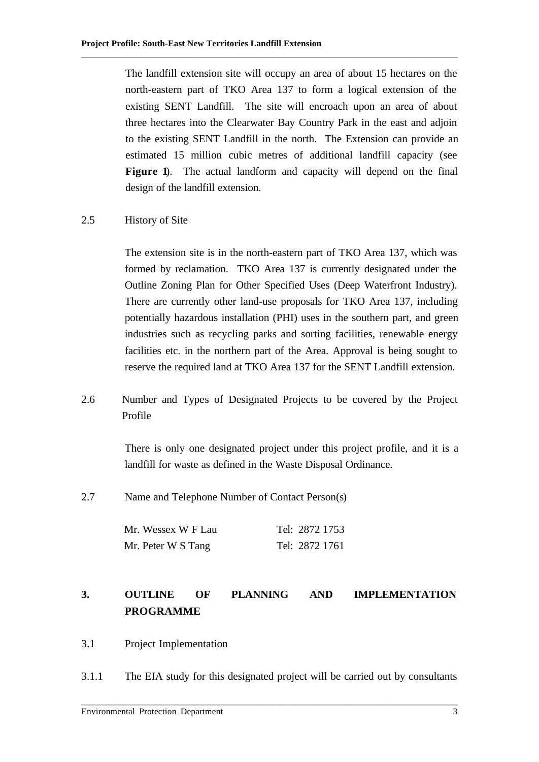The landfill extension site will occupy an area of about 15 hectares on the north-eastern part of TKO Area 137 to form a logical extension of the existing SENT Landfill. The site will encroach upon an area of about three hectares into the Clearwater Bay Country Park in the east and adjoin to the existing SENT Landfill in the north. The Extension can provide an estimated 15 million cubic metres of additional landfill capacity (see **Figure 1**). The actual landform and capacity will depend on the final design of the landfill extension.

\_\_\_\_\_\_\_\_\_\_\_\_\_\_\_\_\_\_\_\_\_\_\_\_\_\_\_\_\_\_\_\_\_\_\_\_\_\_\_\_\_\_\_\_\_\_\_\_\_\_\_\_\_\_\_\_\_\_\_\_\_\_\_\_\_\_\_\_\_\_\_\_\_\_\_\_\_\_\_\_\_\_\_

# 2.5 History of Site

The extension site is in the north-eastern part of TKO Area 137, which was formed by reclamation. TKO Area 137 is currently designated under the Outline Zoning Plan for Other Specified Uses (Deep Waterfront Industry). There are currently other land-use proposals for TKO Area 137, including potentially hazardous installation (PHI) uses in the southern part, and green industries such as recycling parks and sorting facilities, renewable energy facilities etc. in the northern part of the Area. Approval is being sought to reserve the required land at TKO Area 137 for the SENT Landfill extension.

2.6 Number and Types of Designated Projects to be covered by the Project Profile

> There is only one designated project under this project profile, and it is a landfill for waste as defined in the Waste Disposal Ordinance.

2.7 Name and Telephone Number of Contact Person(s)

| Mr. Wessex W F Lau | Tel: 2872 1753 |
|--------------------|----------------|
| Mr. Peter W S Tang | Tel: 2872 1761 |

# **3. OUTLINE OF PLANNING AND IMPLEMENTATION PROGRAMME**

- 3.1 Project Implementation
- 3.1.1 The EIA study for this designated project will be carried out by consultants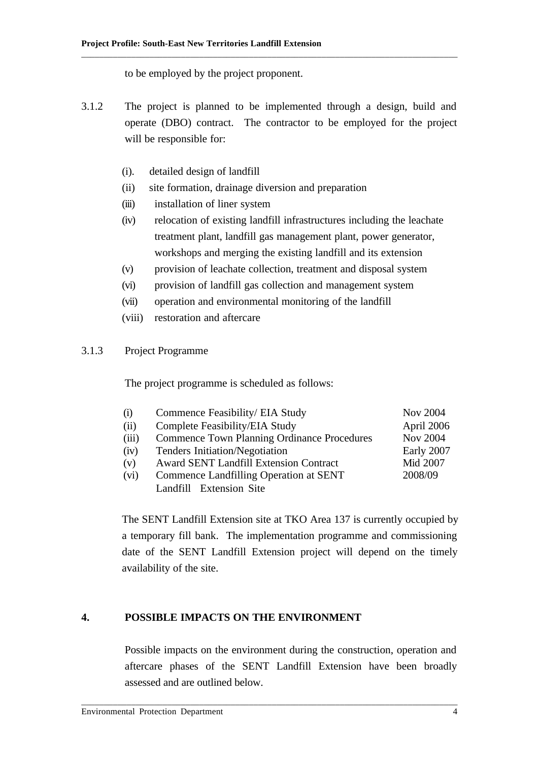to be employed by the project proponent.

3.1.2 The project is planned to be implemented through a design, build and operate (DBO) contract. The contractor to be employed for the project will be responsible for:

\_\_\_\_\_\_\_\_\_\_\_\_\_\_\_\_\_\_\_\_\_\_\_\_\_\_\_\_\_\_\_\_\_\_\_\_\_\_\_\_\_\_\_\_\_\_\_\_\_\_\_\_\_\_\_\_\_\_\_\_\_\_\_\_\_\_\_\_\_\_\_\_\_\_\_\_\_\_\_\_\_\_\_

- (i). detailed design of landfill
- (ii) site formation, drainage diversion and preparation
- (iii) installation of liner system
- (iv) relocation of existing landfill infrastructures including the leachate treatment plant, landfill gas management plant, power generator, workshops and merging the existing landfill and its extension
- (v) provision of leachate collection, treatment and disposal system
- (vi) provision of landfill gas collection and management system
- (vii) operation and environmental monitoring of the landfill
- (viii) restoration and aftercare

#### 3.1.3 Project Programme

The project programme is scheduled as follows:

| (i)   | Commence Feasibility/ EIA Study                    | <b>Nov 2004</b> |
|-------|----------------------------------------------------|-----------------|
| (ii)  | Complete Feasibility/EIA Study                     | April 2006      |
| (iii) | <b>Commence Town Planning Ordinance Procedures</b> | Nov 2004        |
| (iv)  | Tenders Initiation/Negotiation                     | Early 2007      |
| (v)   | Award SENT Landfill Extension Contract             | Mid 2007        |
| (vi)  | Commence Landfilling Operation at SENT             | 2008/09         |
|       | Landfill Extension Site                            |                 |

The SENT Landfill Extension site at TKO Area 137 is currently occupied by a temporary fill bank. The implementation programme and commissioning date of the SENT Landfill Extension project will depend on the timely availability of the site.

# **4. POSSIBLE IMPACTS ON THE ENVIRONMENT**

Possible impacts on the environment during the construction, operation and aftercare phases of the SENT Landfill Extension have been broadly assessed and are outlined below.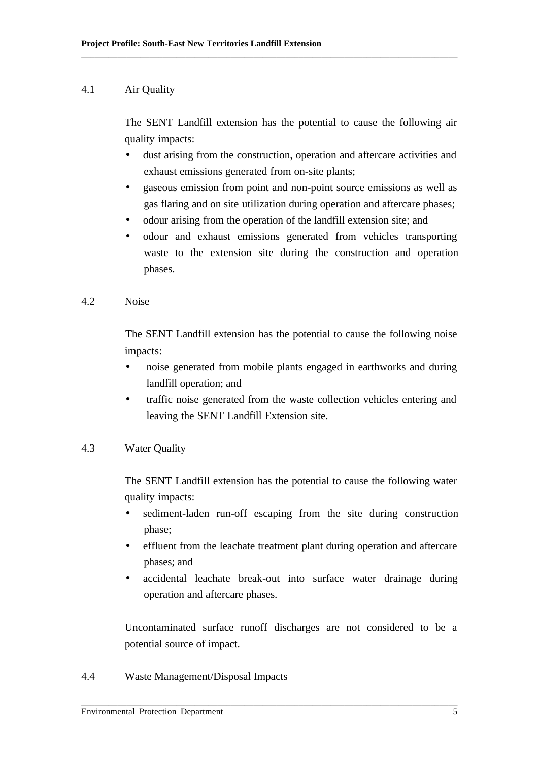#### 4.1 Air Quality

The SENT Landfill extension has the potential to cause the following air quality impacts:

\_\_\_\_\_\_\_\_\_\_\_\_\_\_\_\_\_\_\_\_\_\_\_\_\_\_\_\_\_\_\_\_\_\_\_\_\_\_\_\_\_\_\_\_\_\_\_\_\_\_\_\_\_\_\_\_\_\_\_\_\_\_\_\_\_\_\_\_\_\_\_\_\_\_\_\_\_\_\_\_\_\_\_

- dust arising from the construction, operation and aftercare activities and exhaust emissions generated from on-site plants;
- gaseous emission from point and non-point source emissions as well as gas flaring and on site utilization during operation and aftercare phases;
- odour arising from the operation of the landfill extension site; and
- odour and exhaust emissions generated from vehicles transporting waste to the extension site during the construction and operation phases.
- 4.2 Noise

The SENT Landfill extension has the potential to cause the following noise impacts:

- noise generated from mobile plants engaged in earthworks and during landfill operation; and
- traffic noise generated from the waste collection vehicles entering and leaving the SENT Landfill Extension site.
- 4.3 Water Quality

The SENT Landfill extension has the potential to cause the following water quality impacts:

- sediment-laden run-off escaping from the site during construction phase;
- effluent from the leachate treatment plant during operation and aftercare phases; and
- accidental leachate break-out into surface water drainage during operation and aftercare phases.

Uncontaminated surface runoff discharges are not considered to be a potential source of impact.

\_\_\_\_\_\_\_\_\_\_\_\_\_\_\_\_\_\_\_\_\_\_\_\_\_\_\_\_\_\_\_\_\_\_\_\_\_\_\_\_\_\_\_\_\_\_\_\_\_\_\_\_\_\_\_\_\_\_\_\_\_\_\_\_\_\_\_\_\_\_\_\_\_\_\_\_\_\_\_\_\_\_\_

4.4 Waste Management/Disposal Impacts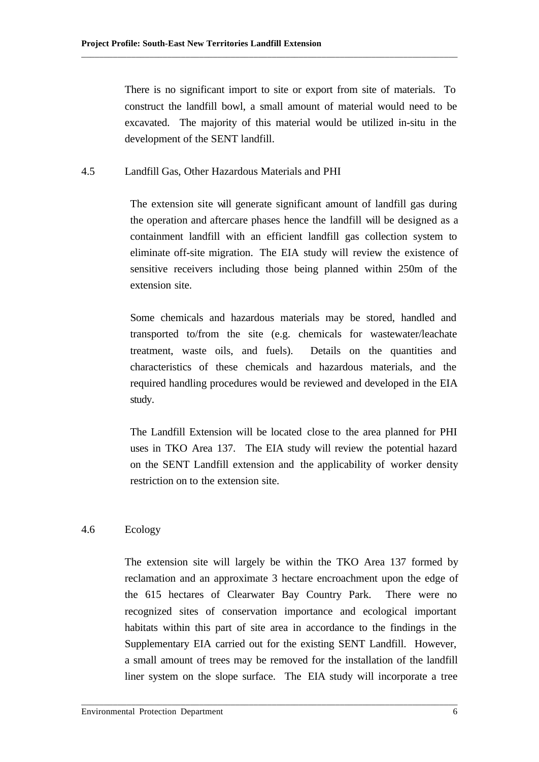There is no significant import to site or export from site of materials. To construct the landfill bowl, a small amount of material would need to be excavated. The majority of this material would be utilized in-situ in the development of the SENT landfill.

\_\_\_\_\_\_\_\_\_\_\_\_\_\_\_\_\_\_\_\_\_\_\_\_\_\_\_\_\_\_\_\_\_\_\_\_\_\_\_\_\_\_\_\_\_\_\_\_\_\_\_\_\_\_\_\_\_\_\_\_\_\_\_\_\_\_\_\_\_\_\_\_\_\_\_\_\_\_\_\_\_\_\_

#### 4.5 Landfill Gas, Other Hazardous Materials and PHI

The extension site will generate significant amount of landfill gas during the operation and aftercare phases hence the landfill will be designed as a containment landfill with an efficient landfill gas collection system to eliminate off-site migration. The EIA study will review the existence of sensitive receivers including those being planned within 250m of the extension site.

Some chemicals and hazardous materials may be stored, handled and transported to/from the site (e.g. chemicals for wastewater/leachate treatment, waste oils, and fuels). Details on the quantities and characteristics of these chemicals and hazardous materials, and the required handling procedures would be reviewed and developed in the EIA study.

The Landfill Extension will be located close to the area planned for PHI uses in TKO Area 137. The EIA study will review the potential hazard on the SENT Landfill extension and the applicability of worker density restriction on to the extension site.

## 4.6 Ecology

The extension site will largely be within the TKO Area 137 formed by reclamation and an approximate 3 hectare encroachment upon the edge of the 615 hectares of Clearwater Bay Country Park. There were no recognized sites of conservation importance and ecological important habitats within this part of site area in accordance to the findings in the Supplementary EIA carried out for the existing SENT Landfill. However, a small amount of trees may be removed for the installation of the landfill liner system on the slope surface. The EIA study will incorporate a tree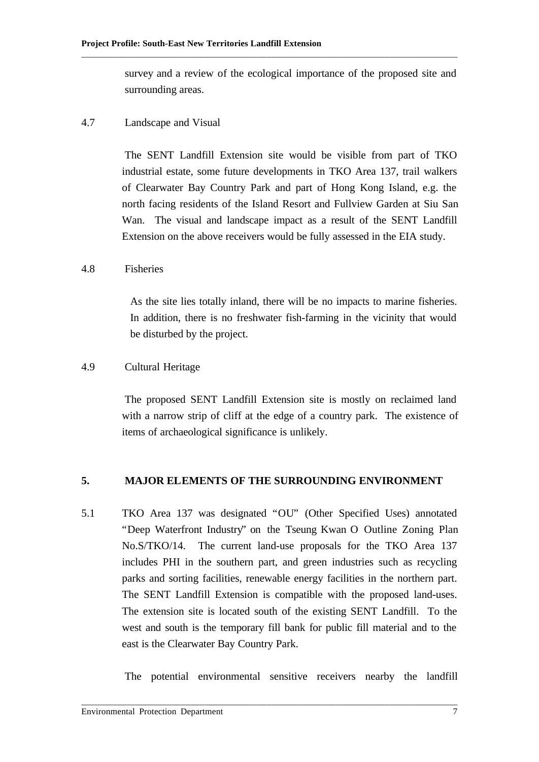survey and a review of the ecological importance of the proposed site and surrounding areas.

\_\_\_\_\_\_\_\_\_\_\_\_\_\_\_\_\_\_\_\_\_\_\_\_\_\_\_\_\_\_\_\_\_\_\_\_\_\_\_\_\_\_\_\_\_\_\_\_\_\_\_\_\_\_\_\_\_\_\_\_\_\_\_\_\_\_\_\_\_\_\_\_\_\_\_\_\_\_\_\_\_\_\_

#### 4.7 Landscape and Visual

The SENT Landfill Extension site would be visible from part of TKO industrial estate, some future developments in TKO Area 137, trail walkers of Clearwater Bay Country Park and part of Hong Kong Island, e.g. the north facing residents of the Island Resort and Fullview Garden at Siu San Wan. The visual and landscape impact as a result of the SENT Landfill Extension on the above receivers would be fully assessed in the EIA study.

## 4.8 Fisheries

As the site lies totally inland, there will be no impacts to marine fisheries. In addition, there is no freshwater fish-farming in the vicinity that would be disturbed by the project.

## 4.9 Cultural Heritage

The proposed SENT Landfill Extension site is mostly on reclaimed land with a narrow strip of cliff at the edge of a country park. The existence of items of archaeological significance is unlikely.

#### **5. MAJOR ELEMENTS OF THE SURROUNDING ENVIRONMENT**

5.1 TKO Area 137 was designated "OU" (Other Specified Uses) annotated "Deep Waterfront Industry" on the Tseung Kwan O Outline Zoning Plan No.S/TKO/14. The current land-use proposals for the TKO Area 137 includes PHI in the southern part, and green industries such as recycling parks and sorting facilities, renewable energy facilities in the northern part. The SENT Landfill Extension is compatible with the proposed land-uses. The extension site is located south of the existing SENT Landfill. To the west and south is the temporary fill bank for public fill material and to the east is the Clearwater Bay Country Park.

\_\_\_\_\_\_\_\_\_\_\_\_\_\_\_\_\_\_\_\_\_\_\_\_\_\_\_\_\_\_\_\_\_\_\_\_\_\_\_\_\_\_\_\_\_\_\_\_\_\_\_\_\_\_\_\_\_\_\_\_\_\_\_\_\_\_\_\_\_\_\_\_\_\_\_\_\_\_\_\_\_\_\_

The potential environmental sensitive receivers nearby the landfill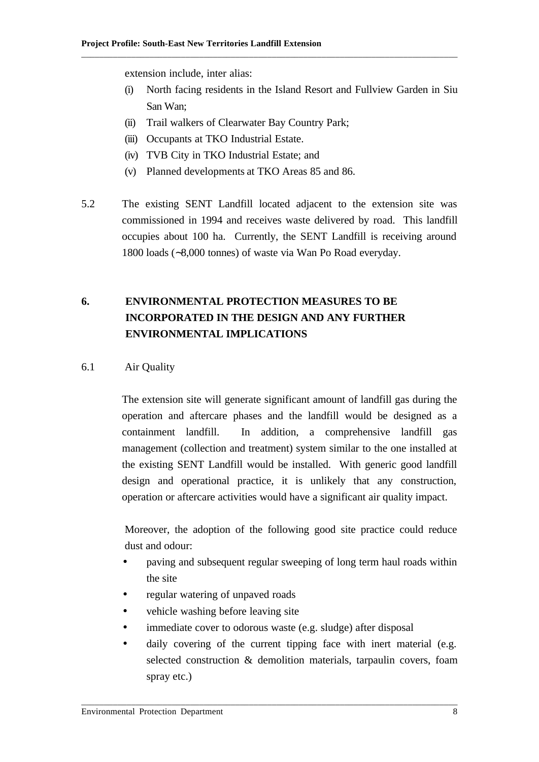extension include, inter alias:

(i) North facing residents in the Island Resort and Fullview Garden in Siu San Wan;

\_\_\_\_\_\_\_\_\_\_\_\_\_\_\_\_\_\_\_\_\_\_\_\_\_\_\_\_\_\_\_\_\_\_\_\_\_\_\_\_\_\_\_\_\_\_\_\_\_\_\_\_\_\_\_\_\_\_\_\_\_\_\_\_\_\_\_\_\_\_\_\_\_\_\_\_\_\_\_\_\_\_\_

- (ii) Trail walkers of Clearwater Bay Country Park;
- (iii) Occupants at TKO Industrial Estate.
- (iv) TVB City in TKO Industrial Estate; and
- (v) Planned developments at TKO Areas 85 and 86.
- 5.2 The existing SENT Landfill located adjacent to the extension site was commissioned in 1994 and receives waste delivered by road. This landfill occupies about 100 ha. Currently, the SENT Landfill is receiving around 1800 loads (∼8,000 tonnes) of waste via Wan Po Road everyday.

# **6. ENVIRONMENTAL PROTECTION MEASURES TO BE INCORPORATED IN THE DESIGN AND ANY FURTHER ENVIRONMENTAL IMPLICATIONS**

#### 6.1 Air Quality

The extension site will generate significant amount of landfill gas during the operation and aftercare phases and the landfill would be designed as a containment landfill. In addition, a comprehensive landfill gas management (collection and treatment) system similar to the one installed at the existing SENT Landfill would be installed. With generic good landfill design and operational practice, it is unlikely that any construction, operation or aftercare activities would have a significant air quality impact.

Moreover, the adoption of the following good site practice could reduce dust and odour:

- paving and subsequent regular sweeping of long term haul roads within the site
- regular watering of unpaved roads
- vehicle washing before leaving site
- immediate cover to odorous waste (e.g. sludge) after disposal

\_\_\_\_\_\_\_\_\_\_\_\_\_\_\_\_\_\_\_\_\_\_\_\_\_\_\_\_\_\_\_\_\_\_\_\_\_\_\_\_\_\_\_\_\_\_\_\_\_\_\_\_\_\_\_\_\_\_\_\_\_\_\_\_\_\_\_\_\_\_\_\_\_\_\_\_\_\_\_\_\_\_\_

• daily covering of the current tipping face with inert material (e.g. selected construction & demolition materials, tarpaulin covers, foam spray etc.)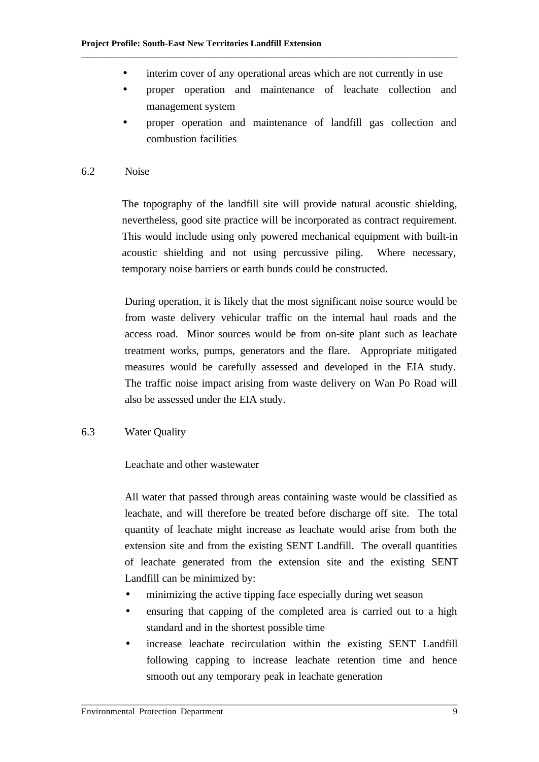• interim cover of any operational areas which are not currently in use

\_\_\_\_\_\_\_\_\_\_\_\_\_\_\_\_\_\_\_\_\_\_\_\_\_\_\_\_\_\_\_\_\_\_\_\_\_\_\_\_\_\_\_\_\_\_\_\_\_\_\_\_\_\_\_\_\_\_\_\_\_\_\_\_\_\_\_\_\_\_\_\_\_\_\_\_\_\_\_\_\_\_\_

- proper operation and maintenance of leachate collection and management system
- proper operation and maintenance of landfill gas collection and combustion facilities
- 6.2 Noise

The topography of the landfill site will provide natural acoustic shielding, nevertheless, good site practice will be incorporated as contract requirement. This would include using only powered mechanical equipment with built-in acoustic shielding and not using percussive piling. Where necessary, temporary noise barriers or earth bunds could be constructed.

During operation, it is likely that the most significant noise source would be from waste delivery vehicular traffic on the internal haul roads and the access road. Minor sources would be from on-site plant such as leachate treatment works, pumps, generators and the flare. Appropriate mitigated measures would be carefully assessed and developed in the EIA study. The traffic noise impact arising from waste delivery on Wan Po Road will also be assessed under the EIA study.

6.3 Water Quality

Leachate and other wastewater

All water that passed through areas containing waste would be classified as leachate, and will therefore be treated before discharge off site. The total quantity of leachate might increase as leachate would arise from both the extension site and from the existing SENT Landfill. The overall quantities of leachate generated from the extension site and the existing SENT Landfill can be minimized by:

• minimizing the active tipping face especially during wet season

- ensuring that capping of the completed area is carried out to a high standard and in the shortest possible time
- increase leachate recirculation within the existing SENT Landfill following capping to increase leachate retention time and hence smooth out any temporary peak in leachate generation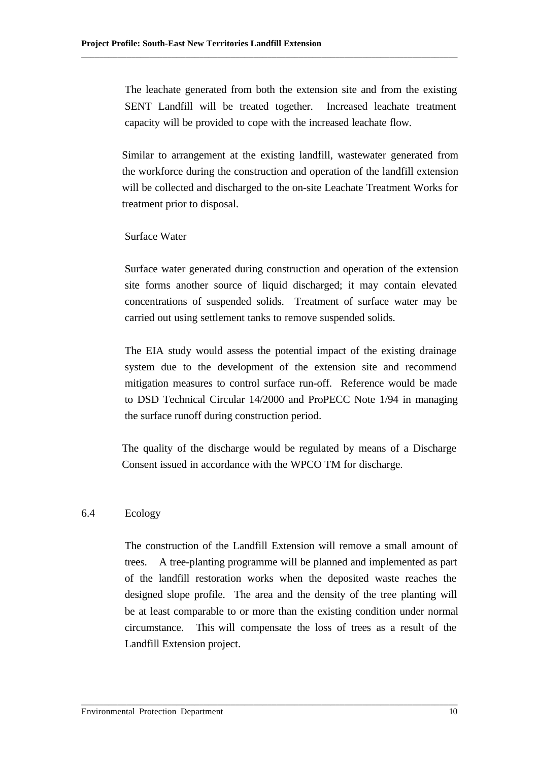The leachate generated from both the extension site and from the existing SENT Landfill will be treated together. Increased leachate treatment capacity will be provided to cope with the increased leachate flow.

\_\_\_\_\_\_\_\_\_\_\_\_\_\_\_\_\_\_\_\_\_\_\_\_\_\_\_\_\_\_\_\_\_\_\_\_\_\_\_\_\_\_\_\_\_\_\_\_\_\_\_\_\_\_\_\_\_\_\_\_\_\_\_\_\_\_\_\_\_\_\_\_\_\_\_\_\_\_\_\_\_\_\_

Similar to arrangement at the existing landfill, wastewater generated from the workforce during the construction and operation of the landfill extension will be collected and discharged to the on-site Leachate Treatment Works for treatment prior to disposal.

Surface Water

Surface water generated during construction and operation of the extension site forms another source of liquid discharged; it may contain elevated concentrations of suspended solids. Treatment of surface water may be carried out using settlement tanks to remove suspended solids.

The EIA study would assess the potential impact of the existing drainage system due to the development of the extension site and recommend mitigation measures to control surface run-off. Reference would be made to DSD Technical Circular 14/2000 and ProPECC Note 1/94 in managing the surface runoff during construction period.

The quality of the discharge would be regulated by means of a Discharge Consent issued in accordance with the WPCO TM for discharge.

# 6.4 Ecology

The construction of the Landfill Extension will remove a small amount of trees. A tree-planting programme will be planned and implemented as part of the landfill restoration works when the deposited waste reaches the designed slope profile. The area and the density of the tree planting will be at least comparable to or more than the existing condition under normal circumstance. This will compensate the loss of trees as a result of the Landfill Extension project.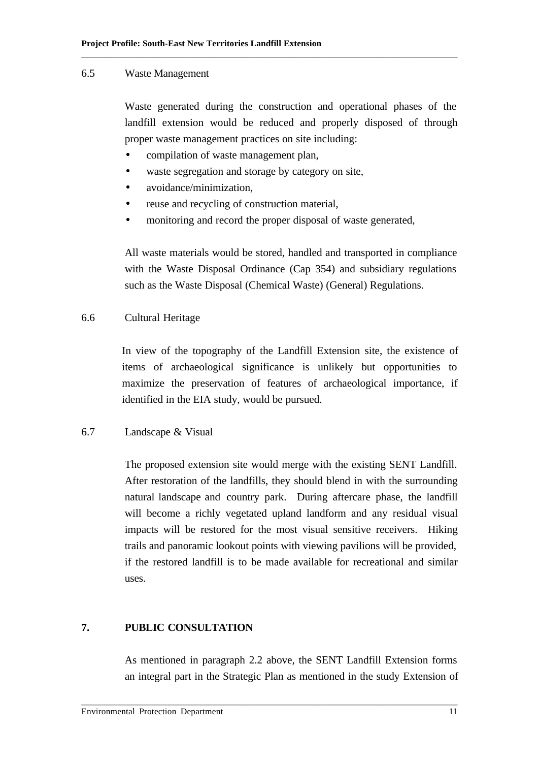#### 6.5 Waste Management

Waste generated during the construction and operational phases of the landfill extension would be reduced and properly disposed of through proper waste management practices on site including:

- compilation of waste management plan,
- waste segregation and storage by category on site,
- avoidance/minimization.
- reuse and recycling of construction material,
- monitoring and record the proper disposal of waste generated,

\_\_\_\_\_\_\_\_\_\_\_\_\_\_\_\_\_\_\_\_\_\_\_\_\_\_\_\_\_\_\_\_\_\_\_\_\_\_\_\_\_\_\_\_\_\_\_\_\_\_\_\_\_\_\_\_\_\_\_\_\_\_\_\_\_\_\_\_\_\_\_\_\_\_\_\_\_\_\_\_\_\_\_

All waste materials would be stored, handled and transported in compliance with the Waste Disposal Ordinance (Cap 354) and subsidiary regulations such as the Waste Disposal (Chemical Waste) (General) Regulations.

#### 6.6 Cultural Heritage

In view of the topography of the Landfill Extension site, the existence of items of archaeological significance is unlikely but opportunities to maximize the preservation of features of archaeological importance, if identified in the EIA study, would be pursued.

### 6.7 Landscape & Visual

The proposed extension site would merge with the existing SENT Landfill. After restoration of the landfills, they should blend in with the surrounding natural landscape and country park. During aftercare phase, the landfill will become a richly vegetated upland landform and any residual visual impacts will be restored for the most visual sensitive receivers. Hiking trails and panoramic lookout points with viewing pavilions will be provided, if the restored landfill is to be made available for recreational and similar uses.

#### **7. PUBLIC CONSULTATION**

As mentioned in paragraph 2.2 above, the SENT Landfill Extension forms an integral part in the Strategic Plan as mentioned in the study Extension of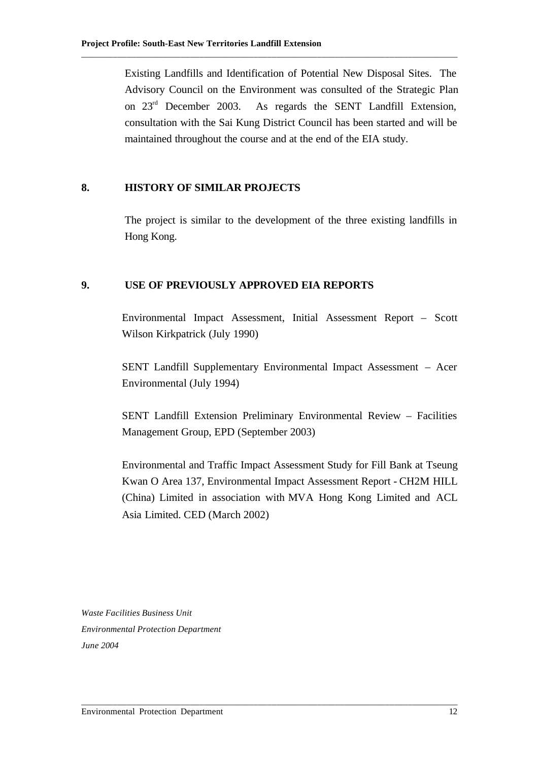Existing Landfills and Identification of Potential New Disposal Sites. The Advisory Council on the Environment was consulted of the Strategic Plan on 23rd December 2003. As regards the SENT Landfill Extension, consultation with the Sai Kung District Council has been started and will be maintained throughout the course and at the end of the EIA study.

\_\_\_\_\_\_\_\_\_\_\_\_\_\_\_\_\_\_\_\_\_\_\_\_\_\_\_\_\_\_\_\_\_\_\_\_\_\_\_\_\_\_\_\_\_\_\_\_\_\_\_\_\_\_\_\_\_\_\_\_\_\_\_\_\_\_\_\_\_\_\_\_\_\_\_\_\_\_\_\_\_\_\_

## **8. HISTORY OF SIMILAR PROJECTS**

The project is similar to the development of the three existing landfills in Hong Kong.

#### **9. USE OF PREVIOUSLY APPROVED EIA REPORTS**

Environmental Impact Assessment, Initial Assessment Report – Scott Wilson Kirkpatrick (July 1990)

SENT Landfill Supplementary Environmental Impact Assessment – Acer Environmental (July 1994)

SENT Landfill Extension Preliminary Environmental Review – Facilities Management Group, EPD (September 2003)

Environmental and Traffic Impact Assessment Study for Fill Bank at Tseung Kwan O Area 137, Environmental Impact Assessment Report - CH2M HILL (China) Limited in association with MVA Hong Kong Limited and ACL Asia Limited. CED (March 2002)

\_\_\_\_\_\_\_\_\_\_\_\_\_\_\_\_\_\_\_\_\_\_\_\_\_\_\_\_\_\_\_\_\_\_\_\_\_\_\_\_\_\_\_\_\_\_\_\_\_\_\_\_\_\_\_\_\_\_\_\_\_\_\_\_\_\_\_\_\_\_\_\_\_\_\_\_\_\_\_\_\_\_\_

*Waste Facilities Business Unit Environmental Protection Department June 2004*